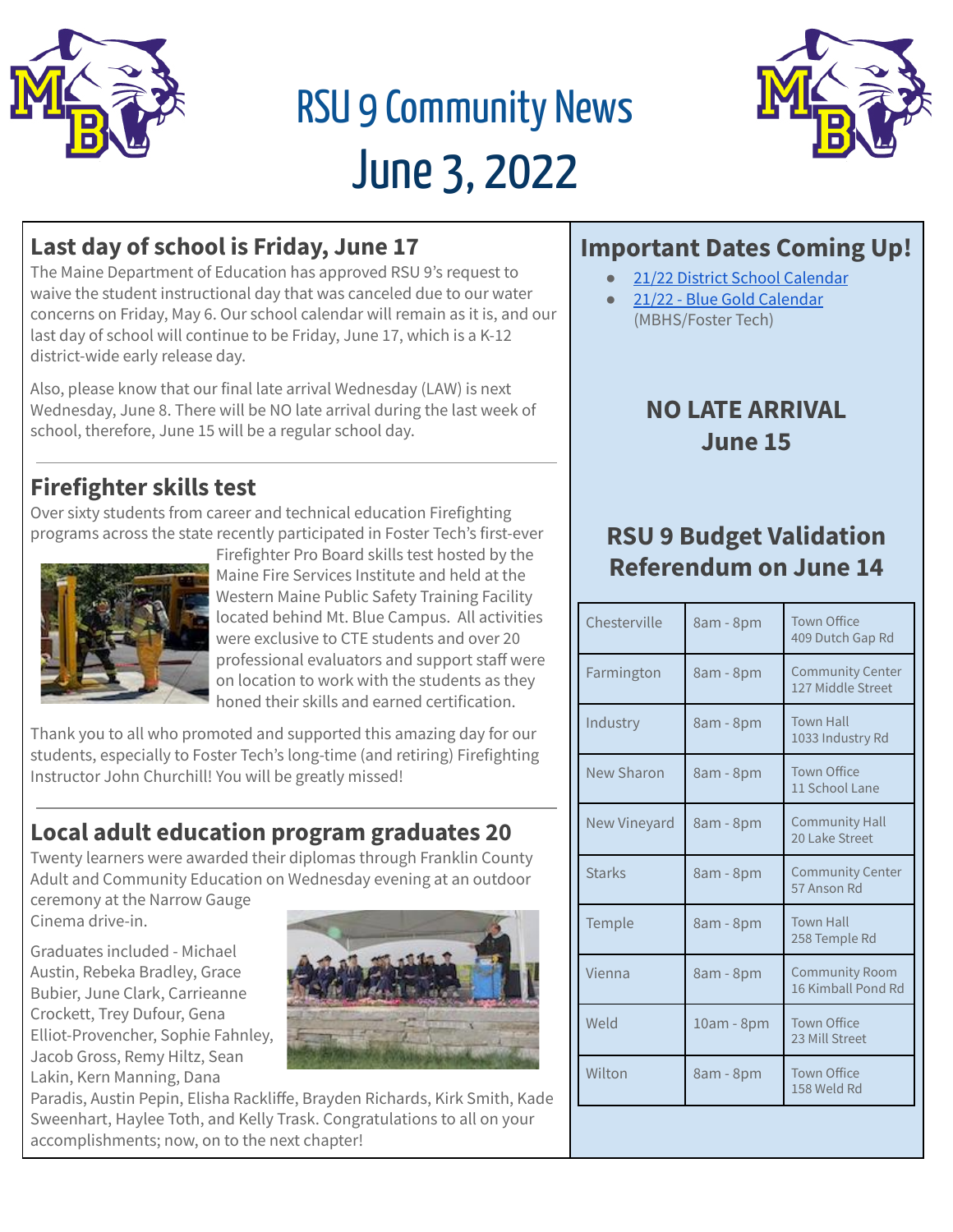

# RSU 9 Community News June 3, 2022



## **Last day of school is Friday, June 17**

The Maine Department of Education has approved RSU 9's request to waive the student instructional day that was canceled due to our water concerns on Friday, May 6. Our school calendar will remain as it is, and our last day of school will continue to be Friday, June 17, which is a K-12 district-wide early release day.

Also, please know that our final late arrival Wednesday (LAW) is next Wednesday, June 8. There will be NO late arrival during the last week of school, therefore, June 15 will be a regular school day.

## **Firefighter skills test**

Over sixty students from career and technical education Firefighting programs across the state recently participated in Foster Tech's first-ever



Firefighter Pro Board skills test hosted by the Maine Fire Services Institute and held at the Western Maine Public Safety Training Facility located behind Mt. Blue Campus. All activities were exclusive to CTE students and over 20 professional evaluators and support staff were on location to work with the students as they honed their skills and earned certification.

Thank you to all who promoted and supported this amazing day for our students, especially to Foster Tech's long-time (and retiring) Firefighting Instructor John Churchill! You will be greatly missed!

# **Local adult education program graduates 20**

Twenty learners were awarded their diplomas through Franklin County Adult and Community Education on Wednesday evening at an outdoor

ceremony at the Narrow Gauge Cinema drive-in.

Graduates included - Michael Austin, Rebeka Bradley, Grace Bubier, June Clark, Carrieanne Crockett, Trey Dufour, Gena Elliot-Provencher, Sophie Fahnley, Jacob Gross, Remy Hiltz, Sean Lakin, Kern Manning, Dana



Paradis, Austin Pepin, Elisha Rackliffe, Brayden Richards, Kirk Smith, Kade Sweenhart, Haylee Toth, and Kelly Trask. Congratulations to all on your accomplishments; now, on to the next chapter!

# **Important Dates Coming Up!**

- 21/22 District School [Calendar](https://cdn.branchcms.com/yeQ4XpK43n-1155/docs/district/downloadable-calendars/2021-2022_Calendar_Revised_2021Oct26-1.pdf)
- 21/22 Blue Gold [Calendar](https://cdn.branchcms.com/yeQ4XpK43n-1155/docs/district/downloadable-calendars/2021-2022_B-G-Calendar_Revised_2021Oct26.pdf) (MBHS/Foster Tech)

## **NO LATE ARRIVAL June 15**

## **RSU 9 Budget Validation Referendum on June 14**

| Chesterville  | 8am - 8pm  | <b>Town Office</b><br>409 Dutch Gap Rd       |
|---------------|------------|----------------------------------------------|
| Farmington    | 8am - 8pm  | <b>Community Center</b><br>127 Middle Street |
| Industry      | 8am - 8pm  | <b>Town Hall</b><br>1033 Industry Rd         |
| New Sharon    | 8am - 8pm  | <b>Town Office</b><br>11 School Lane         |
| New Vineyard  | 8am - 8pm  | <b>Community Hall</b><br>20 Lake Street      |
| <b>Starks</b> | 8am - 8pm  | <b>Community Center</b><br>57 Anson Rd       |
| Temple        | 8am - 8pm  | <b>Town Hall</b><br>258 Temple Rd            |
| Vienna        | 8am - 8pm  | Community Room<br>16 Kimball Pond Rd         |
| Weld          | 10am - 8pm | <b>Town Office</b><br>23 Mill Street         |
| Wilton        | 8am - 8pm  | <b>Town Office</b><br>158 Weld Rd            |
|               |            |                                              |